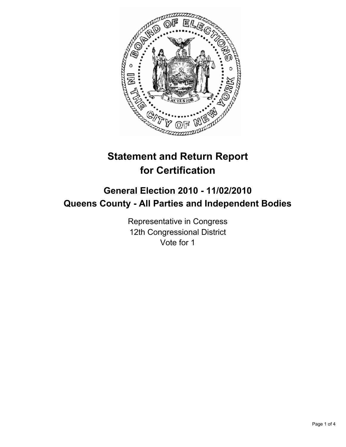

# **Statement and Return Report for Certification**

## **General Election 2010 - 11/02/2010 Queens County - All Parties and Independent Bodies**

Representative in Congress 12th Congressional District Vote for 1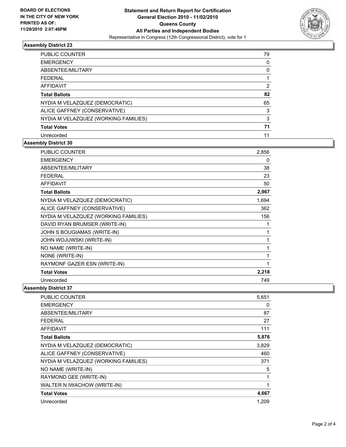

## **Assembly District 23**

| PUBLIC COUNTER                       | 79 |
|--------------------------------------|----|
| <b>EMERGENCY</b>                     | 0  |
| <b>ABSENTEE/MILITARY</b>             | 0  |
| <b>FEDERAL</b>                       |    |
| <b>AFFIDAVIT</b>                     | 2  |
| <b>Total Ballots</b>                 | 82 |
| NYDIA M VELAZQUEZ (DEMOCRATIC)       | 65 |
| ALICE GAFFNEY (CONSERVATIVE)         | 3  |
| NYDIA M VELAZQUEZ (WORKING FAMILIES) | 3  |
| <b>Total Votes</b>                   | 71 |
| Unrecorded                           | 11 |
|                                      |    |

## **Assembly District 30**

| PUBLIC COUNTER                       | 2,856 |
|--------------------------------------|-------|
| <b>EMERGENCY</b>                     | 0     |
| ABSENTEE/MILITARY                    | 38    |
| <b>FEDERAL</b>                       | 23    |
| <b>AFFIDAVIT</b>                     | 50    |
| <b>Total Ballots</b>                 | 2,967 |
| NYDIA M VELAZQUEZ (DEMOCRATIC)       | 1,694 |
| ALICE GAFFNEY (CONSERVATIVE)         | 362   |
| NYDIA M VELAZQUEZ (WORKING FAMILIES) | 156   |
| DAVID RYAN BRUMSER (WRITE-IN)        | 1     |
| JOHN S BOUGIAMAS (WRITE-IN)          | 1     |
| JOHN WOJUWSKI (WRITE-IN)             | 1     |
| NO NAME (WRITE-IN)                   | 1     |
| NONE (WRITE-IN)                      | 1     |
| RAYMONF GAZER ESN (WRITE-IN)         | 1     |
| <b>Total Votes</b>                   | 2,218 |
| Unrecorded                           | 749   |

**Assembly District 37**

| <b>PUBLIC COUNTER</b>                | 5,651 |
|--------------------------------------|-------|
| <b>EMERGENCY</b>                     | 0     |
| ABSENTEE/MILITARY                    | 87    |
| FEDERAL                              | 27    |
| <b>AFFIDAVIT</b>                     | 111   |
| <b>Total Ballots</b>                 | 5,876 |
| NYDIA M VELAZQUEZ (DEMOCRATIC)       | 3,829 |
| ALICE GAFFNEY (CONSERVATIVE)         | 460   |
| NYDIA M VELAZQUEZ (WORKING FAMILIES) | 371   |
| NO NAME (WRITE-IN)                   | 5     |
| RAYMOND GEE (WRITE-IN)               | 1     |
| WALTER N IWACHOW (WRITE-IN)          | 1     |
| <b>Total Votes</b>                   | 4,667 |
| Unrecorded                           | 1,209 |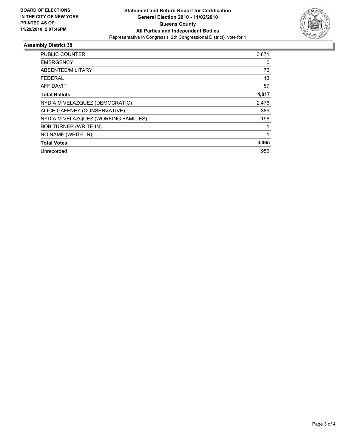

## **Assembly District 38**

| <b>PUBLIC COUNTER</b>                | 3,871 |
|--------------------------------------|-------|
| <b>EMERGENCY</b>                     | 0     |
| ABSENTEE/MILITARY                    | 76    |
| <b>FEDERAL</b>                       | 13    |
| <b>AFFIDAVIT</b>                     | 57    |
| <b>Total Ballots</b>                 | 4,017 |
| NYDIA M VELAZQUEZ (DEMOCRATIC)       | 2,476 |
| ALICE GAFFNEY (CONSERVATIVE)         | 389   |
| NYDIA M VELAZQUEZ (WORKING FAMILIES) | 198   |
| <b>BOB TURNER (WRITE-IN)</b>         |       |
| NO NAME (WRITE-IN)                   |       |
| <b>Total Votes</b>                   | 3,065 |
| Unrecorded                           | 952   |